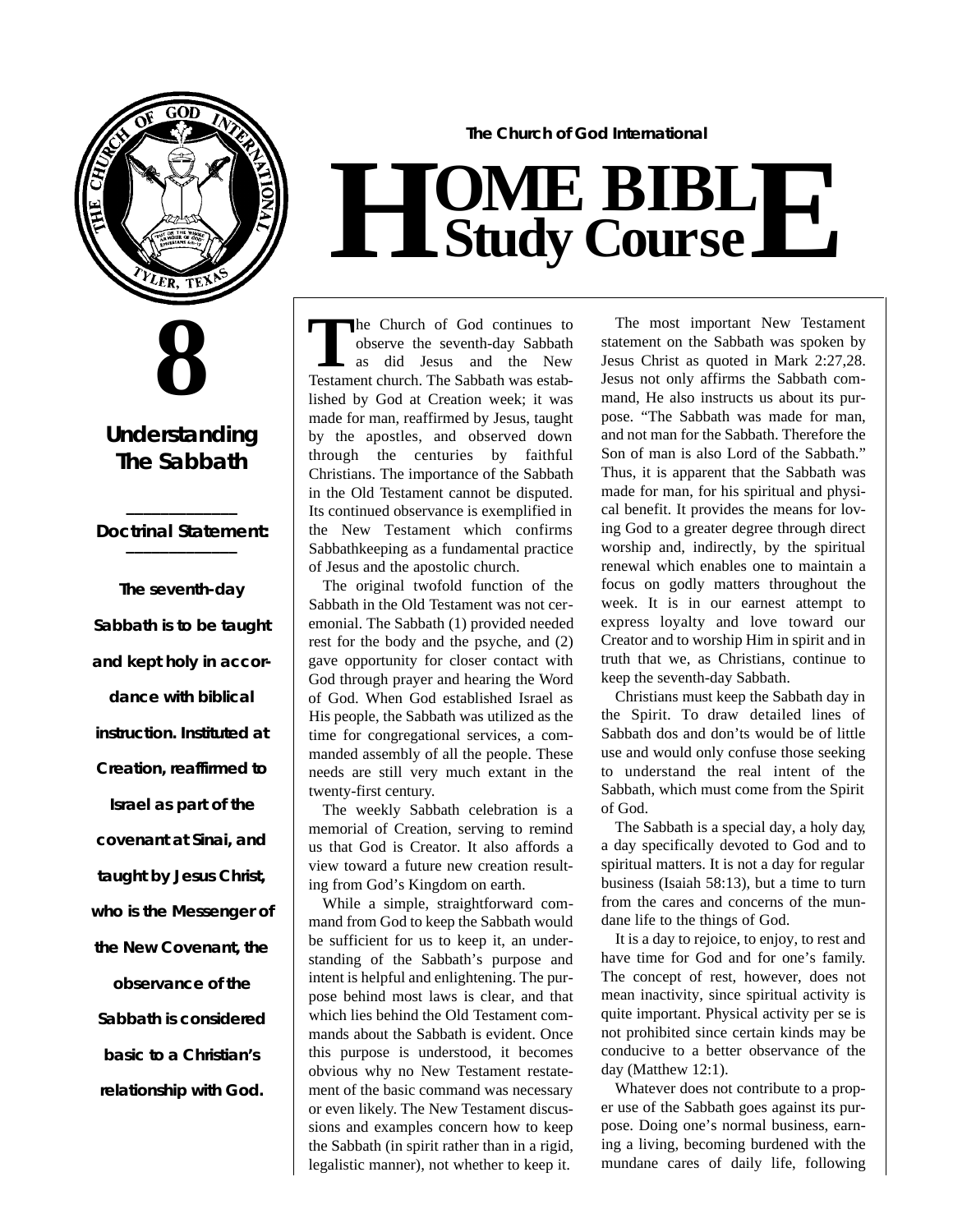



### **Understanding The Sabbath**

#### **\_\_\_\_\_\_\_\_\_\_\_\_\_** *Doctrinal Statement:* **\_\_\_\_\_\_\_\_\_\_\_\_\_**

**The seventh-day Sabbath is to be taught and kept holy in accordance with biblical instruction. Instituted at Creation, reaffirmed to Israel as part of the covenant at Sinai, and taught by Jesus Christ, who is the Messenger of the New Covenant, the observance of the Sabbath is considered basic to a Christian's relationship with God.**

**The Church of God International**

## $H$  **Study Study Cour BIB s e L E**

The Church of God continues to observe the seventh-day Sabbath as did Jesus and the New Testament church. The Sabbath was estabhe Church of God continues to observe the seventh-day Sabbath as did Jesus and the New lished by God at Creation week; it was made for man, reaffirmed by Jesus, taught by the apostles, and observed down through the centuries by faithful Christians. The importance of the Sabbath in the Old Testament cannot be disputed. Its continued observance is exemplified in the New Testament which confirms Sabbathkeeping as a fundamental practice of Jesus and the apostolic church.

The original twofold function of the Sabbath in the Old Testament was not ceremonial. The Sabbath (1) provided needed rest for the body and the psyche, and (2) gave opportunity for closer contact with God through prayer and hearing the Word of God. When God established Israel as His people, the Sabbath was utilized as the time for congregational services, a commanded assembly of all the people. These needs are still very much extant in the twenty-first century.

The weekly Sabbath celebration is a memorial of Creation, serving to remind us that God is Creator. It also affords a view toward a future new creation resulting from God's Kingdom on earth.

While a simple, straightforward command from God to keep the Sabbath would be sufficient for us to keep it, an understanding of the Sabbath's purpose and intent is helpful and enlightening. The purpose behind most laws is clear, and that which lies behind the Old Testament commands about the Sabbath is evident. Once this purpose is understood, it becomes obvious why no New Testament restatement of the basic command was necessary or even likely. The New Testament discussions and examples concern how to keep the Sabbath (in spirit rather than in a rigid, legalistic manner), not whether to keep it.

The most important New Testament statement on the Sabbath was spoken by Jesus Christ as quoted in Mark 2:27,28. Jesus not only affirms the Sabbath command, He also instructs us about its purpose. "The Sabbath was made for man, and not man for the Sabbath. Therefore the Son of man is also Lord of the Sabbath." Thus, it is apparent that the Sabbath was made for man, for his spiritual and physical benefit. It provides the means for loving God to a greater degree through direct worship and, indirectly, by the spiritual renewal which enables one to maintain a focus on godly matters throughout the week. It is in our earnest attempt to express loyalty and love toward our Creator and to worship Him in spirit and in truth that we, as Christians, continue to keep the seventh-day Sabbath.

Christians must keep the Sabbath day in the Spirit. To draw detailed lines of Sabbath dos and don'ts would be of little use and would only confuse those seeking to understand the real intent of the Sabbath, which must come from the Spirit of God.

The Sabbath is a special day, a holy day, a day specifically devoted to God and to spiritual matters. It is not a day for regular business (Isaiah 58:13), but a time to turn from the cares and concerns of the mundane life to the things of God.

It is a day to rejoice, to enjoy, to rest and have time for God and for one's family. The concept of rest, however, does not mean inactivity, since spiritual activity is quite important. Physical activity per se is not prohibited since certain kinds may be conducive to a better observance of the day (Matthew 12:1).

Whatever does not contribute to a proper use of the Sabbath goes against its purpose. Doing one's normal business, earning a living, becoming burdened with the mundane cares of daily life, following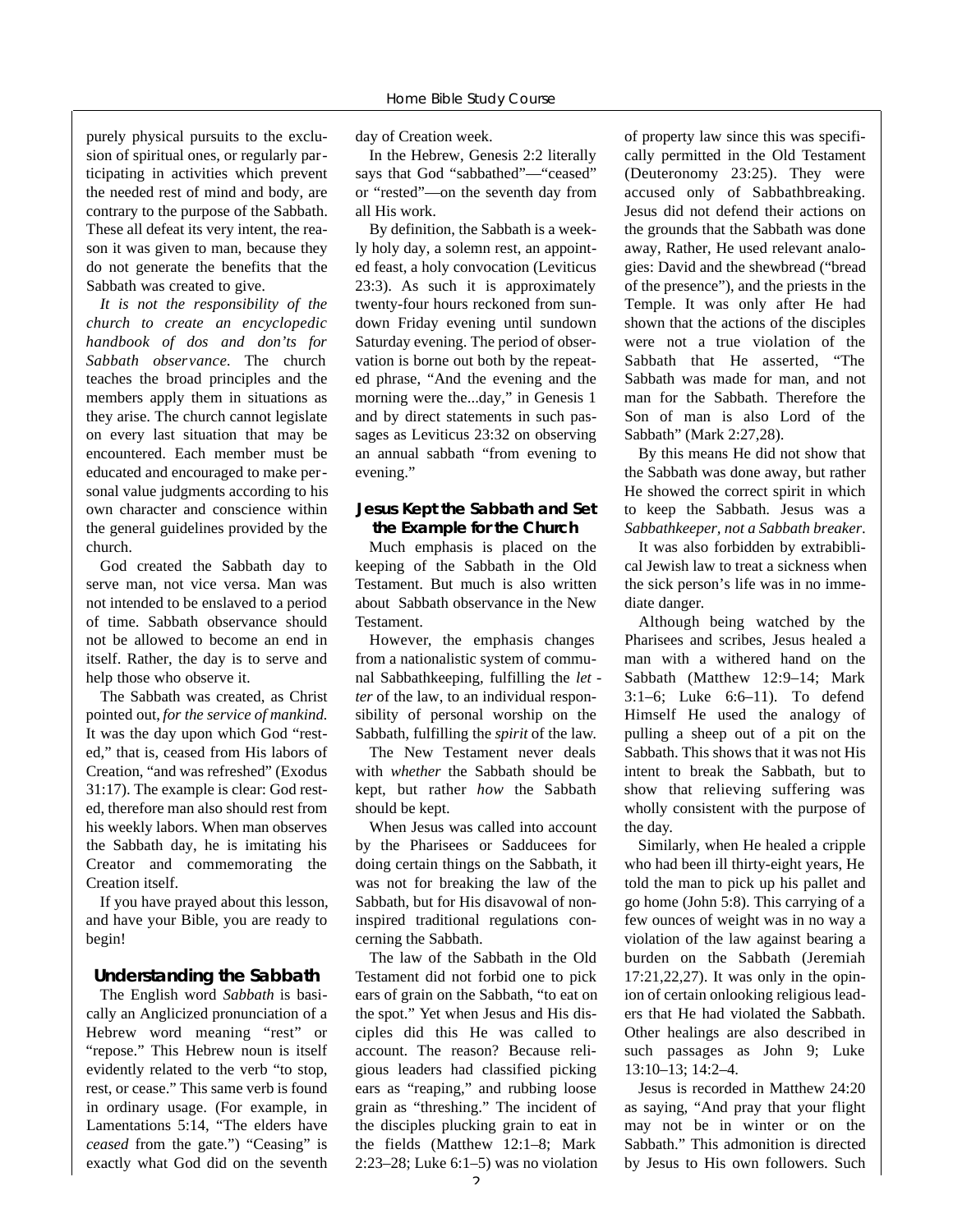purely physical pursuits to the exclusion of spiritual ones, or regularly participating in activities which prevent the needed rest of mind and body, are contrary to the purpose of the Sabbath. These all defeat its very intent, the reason it was given to man, because they do not generate the benefits that the Sabbath was created to give.

*It is not the responsibility of the church to create an encyclopedic handbook of dos and don'ts for* Sabbath observance. The church teaches the broad principles and the members apply them in situations as they arise. The church cannot legislate on every last situation that may be encountered. Each member must be educated and encouraged to make personal value judgments according to his own character and conscience within the general guidelines provided by the church.

God created the Sabbath day to serve man, not vice versa. Man was not intended to be enslaved to a period of time. Sabbath observance should not be allowed to become an end in itself. Rather, the day is to serve and help those who observe it.

The Sabbath was created, as Christ pointed out, *for the service of mankind.* It was the day upon which God "rested," that is, ceased from His labors of Creation, "and was refreshed" (Exodus 31:17). The example is clear: God rested, therefore man also should rest from his weekly labors. When man observes the Sabbath day, he is imitating his Creator and commemorating the Creation itself.

If you have prayed about this lesson, and have your Bible, you are ready to begin!

#### **Understanding the Sabbath**

The English word *Sabbath* is basically an Anglicized pronunciation of a Hebrew word meaning "rest" or "repose." This Hebrew noun is itself evidently related to the verb "to stop, rest, or cease." This same verb is found in ordinary usage. (For example, in Lamentations 5:14, "The elders have *ceased* from the gate.") "Ceasing" is exactly what God did on the seventh day of Creation week.

In the Hebrew, Genesis 2:2 literally says that God "sabbathed"—"ceased" or "rested"—on the seventh day from all His work.

By definition, the Sabbath is a weekly holy day, a solemn rest, an appointed feast, a holy convocation (Leviticus 23:3). As such it is approximately twenty-four hours reckoned from sundown Friday evening until sundown Saturday evening. The period of observation is borne out both by the repeated phrase, "And the evening and the morning were the...day," in Genesis 1 and by direct statements in such passages as Leviticus 23:32 on observing an annual sabbath "from evening to evening."

#### **Jesus Kept the Sabbath and Set the Example for the Church**

Much emphasis is placed on the keeping of the Sabbath in the Old Testament. But much is also written about Sabbath observance in the New **Testament** 

However, the emphasis changes from a nationalistic system of communal Sabbathkeeping, fulfilling the *let ter* of the law, to an individual responsibility of personal worship on the Sabbath, fulfilling the *spirit* of the law.

The New Testament never deals with *whether* the Sabbath should be kept, but rather *how* the Sabbath should be kept.

When Jesus was called into account by the Pharisees or Sadducees for doing certain things on the Sabbath, it was not for breaking the law of the Sabbath, but for His disavowal of noninspired traditional regulations concerning the Sabbath.

The law of the Sabbath in the Old Testament did not forbid one to pick ears of grain on the Sabbath, "to eat on the spot." Yet when Jesus and His disciples did this He was called to account. The reason? Because religious leaders had classified picking ears as "reaping," and rubbing loose grain as "threshing." The incident of the disciples plucking grain to eat in the fields (Matthew 12:1–8; Mark 2:23–28; Luke 6:1–5) was no violation of property law since this was specifically permitted in the Old Testament (Deuteronomy 23:25). They were accused only of Sabbathbreaking. Jesus did not defend their actions on the grounds that the Sabbath was done away, Rather, He used relevant analogies: David and the shewbread ("bread of the presence"), and the priests in the Temple. It was only after He had shown that the actions of the disciples were not a true violation of the Sabbath that He asserted, "The Sabbath was made for man, and not man for the Sabbath. Therefore the Son of man is also Lord of the Sabbath" (Mark 2:27,28).

By this means He did not show that the Sabbath was done away, but rather He showed the correct spirit in which to keep the Sabbath. Jesus was a *Sabbathkeeper, not a Sabbath breaker*.

It was also forbidden by extrabiblical Jewish law to treat a sickness when the sick person's life was in no immediate danger.

Although being watched by the Pharisees and scribes, Jesus healed a man with a withered hand on the Sabbath (Matthew 12:9–14; Mark 3:1–6; Luke 6:6–11). To defend Himself He used the analogy of pulling a sheep out of a pit on the Sabbath. This shows that it was not His intent to break the Sabbath, but to show that relieving suffering was wholly consistent with the purpose of the day.

Similarly, when He healed a cripple who had been ill thirty-eight years, He told the man to pick up his pallet and go home (John 5:8). This carrying of a few ounces of weight was in no way a violation of the law against bearing a burden on the Sabbath (Jeremiah 17:21,22,27). It was only in the opinion of certain onlooking religious leaders that He had violated the Sabbath. Other healings are also described in such passages as John 9; Luke 13:10–13; 14:2–4.

Jesus is recorded in Matthew 24:20 as saying, "And pray that your flight may not be in winter or on the Sabbath." This admonition is directed by Jesus to His own followers. Such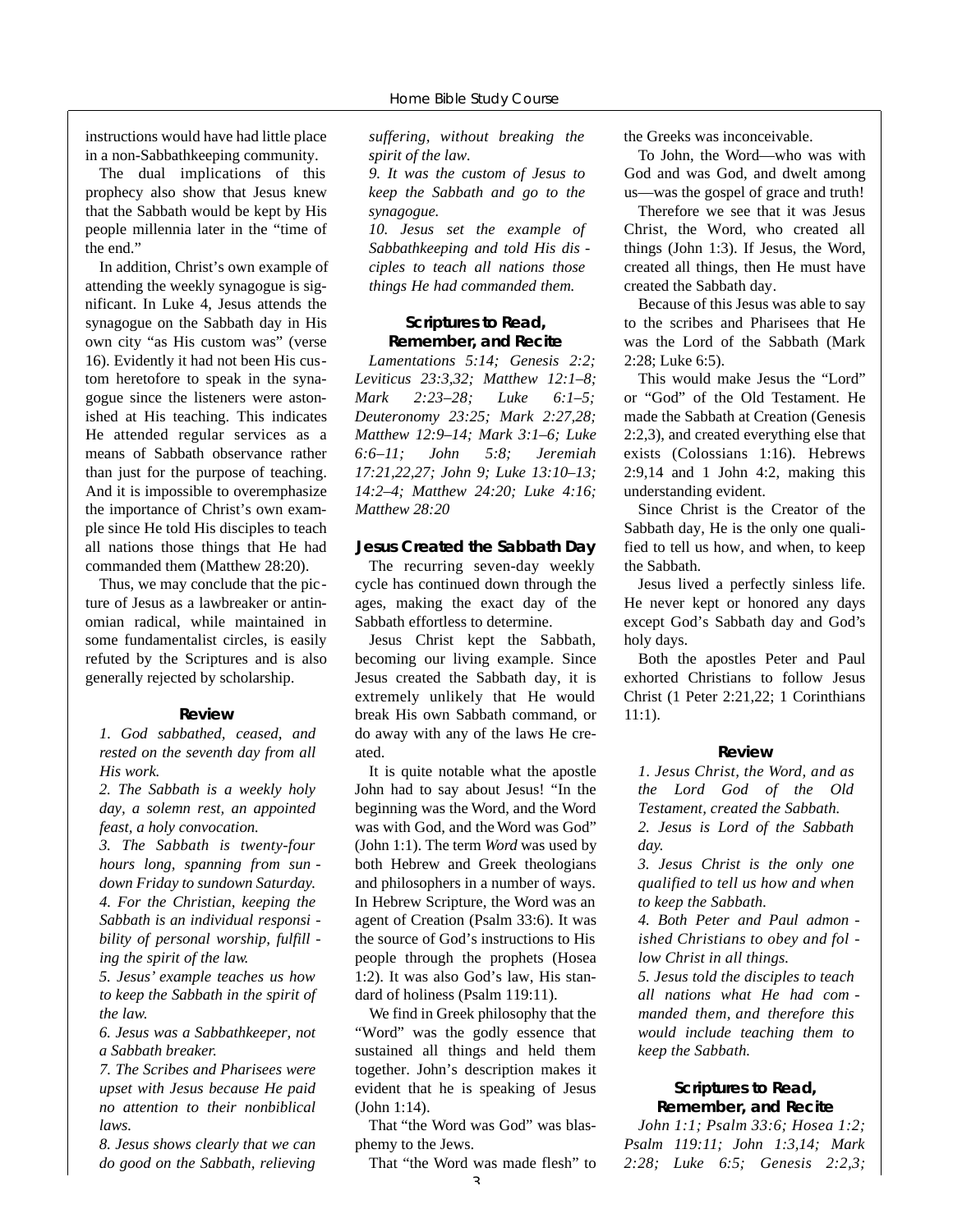instructions would have had little place in a non-Sabbathkeeping community.

The dual implications of this prophecy also show that Jesus knew that the Sabbath would be kept by His people millennia later in the "time of the end."

In addition, Christ's own example of attending the weekly synagogue is significant. In Luke 4, Jesus attends the synagogue on the Sabbath day in His own city "as His custom was" (verse 16). Evidently it had not been His custom heretofore to speak in the synagogue since the listeners were astonished at His teaching. This indicates He attended regular services as a means of Sabbath observance rather than just for the purpose of teaching. And it is impossible to overemphasize the importance of Christ's own example since He told His disciples to teach all nations those things that He had commanded them (Matthew 28:20).

Thus, we may conclude that the picture of Jesus as a lawbreaker or antinomian radical, while maintained in some fundamentalist circles, is easily refuted by the Scriptures and is also generally rejected by scholarship.

#### **Review**

*1. God sabbathed, ceased, and rested on the seventh day from all His work.*

*2. The Sabbath is a weekly holy day, a solemn rest, an appointed feast, a holy convocation.*

*3. The Sabbath is twenty-four hours long, spanning from sun down Friday to sundown Saturday. 4. For the Christian, keeping the Sabbath is an individual responsi bility of personal worship, fulfill ing the spirit of the law.*

*5. Jesus' example teaches us how to keep the Sabbath in the spirit of the law.*

*6. Jesus was a Sabbathkeeper, not a Sabbath breaker.*

*7. The Scribes and Pharisees were upset with Jesus because He paid no attention to their nonbiblical laws.*

*8. Jesus shows clearly that we can do good on the Sabbath, relieving* *suffering, without breaking the spirit of the law.*

*9. It was the custom of Jesus to keep the Sabbath and go to the synagogue.*

*10. Jesus set the example of Sabbathkeeping and told His dis ciples to teach all nations those things He had commanded them.*

#### **Scriptures to Read, Remember, and Recite**

*Lamentations 5:14; Genesis 2:2; Leviticus 23:3,32; Matthew 12:1–8; Mark 2:23–28; Luke 6:1–5; Deuteronomy 23:25; Mark 2:27,28; Matthew 12:9–14; Mark 3:1–6; Luke 6 : 6 – 11; John 5:8; Jere m i a h 17:21,22,27; John 9; Luke 13:10–13; 14:2–4; Matthew 24:20; Luke 4:16; Matthew 28:20*

#### **Jesus Created the Sabbath Day**

The recurring seven-day weekly cycle has continued down through the ages, making the exact day of the Sabbath effortless to determine.

Jesus Christ kept the Sabbath, becoming our living example. Since Jesus created the Sabbath day, it is extremely unlikely that He would break His own Sabbath command, or do away with any of the laws He created.

It is quite notable what the apostle John had to say about Jesus! "In the beginning was the Word, and the Word was with God, and the Word was God" (John 1:1). The term *Word* was used by both Hebrew and Greek theologians and philosophers in a number of ways. In Hebrew Scripture, the Word was an agent of Creation (Psalm 33:6). It was the source of God's instructions to His people through the prophets (Hosea 1:2). It was also God's law, His standard of holiness (Psalm 119:11).

We find in Greek philosophy that the "Word" was the godly essence that sustained all things and held them together. John's description makes it evident that he is speaking of Jesus (John 1:14).

That "the Word was God" was blasphemy to the Jews.

That "the Word was made flesh" to

 $\overline{2}$ 

the Greeks was inconceivable.

To John, the Word—who was with God and was God, and dwelt among us—was the gospel of grace and truth!

Therefore we see that it was Jesus Christ, the Word, who created all things (John 1:3). If Jesus, the Word, created all things, then He must have created the Sabbath day.

Because of this Jesus was able to say to the scribes and Pharisees that He was the Lord of the Sabbath (Mark 2:28; Luke 6:5).

This would make Jesus the "Lord" or "God" of the Old Testament. He made the Sabbath at Creation (Genesis 2:2,3), and created everything else that exists (Colossians 1:16). Hebrews 2:9,14 and 1 John 4:2, making this understanding evident.

Since Christ is the Creator of the Sabbath day, He is the only one qualified to tell us how, and when, to keep the Sabbath.

Jesus lived a perfectly sinless life. He never kept or honored any days except God's Sabbath day and God's holy days.

Both the apostles Peter and Paul exhorted Christians to follow Jesus Christ (1 Peter 2:21,22; 1 Corinthians 11:1).

#### **R e v i e w**

*1. Jesus Christ, the Wo rd, and as the Lord God of the Old Testament, created the Sabbath. 2. Jesus is Lord of the Sabbath*

*d a y.*

*3. Jesus Christ is the only one qualified to tell us how and when to keep the Sabbath.*

*4. Both Peter and Paul admon ished Christians to obey and fol low Christ in all things.*

*5. Jesus told the disciples to teach all nations what He had com manded them, and therefore this would include teaching them to keep the Sabbath.*

#### **Scriptures to Read, Remember, and Recite**

*John 1:1; Psalm 33:6; Hosea 1:2; Psalm 11 9 : 11; John 1:3,14; Mark 2:28; Luke 6:5; Genesis 2:2,3;*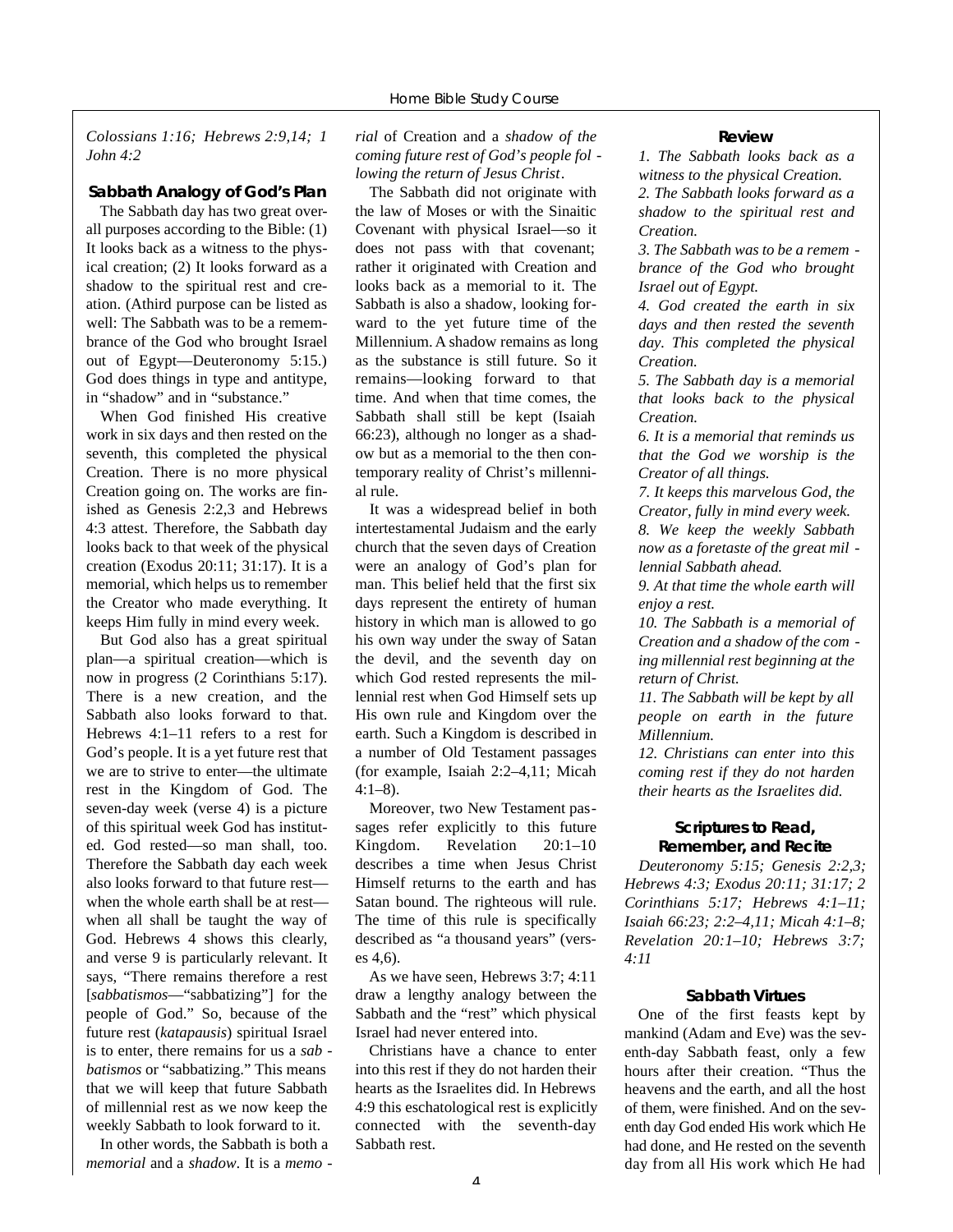*Colossians 1:16; Hebrews 2:9,14; 1 John 4:2*

#### **Sabbath Analogy of God's Plan**

The Sabbath day has two great overall purposes according to the Bible: (1) It looks back as a witness to the physical creation; (2) It looks forward as a shadow to the spiritual rest and creation. (Athird purpose can be listed as well: The Sabbath was to be a remembrance of the God who brought Israel out of Egypt—Deuteronomy 5:15.) God does things in type and antitype, in "shadow" and in "substance."

When God finished His creative work in six days and then rested on the seventh, this completed the physical Creation. There is no more physical Creation going on. The works are finished as Genesis 2:2,3 and Hebrews 4:3 attest. Therefore, the Sabbath day looks back to that week of the physical creation (Exodus 20:11; 31:17). It is a memorial, which helps us to remember the Creator who made everything. It keeps Him fully in mind every week.

But God also has a great spiritual plan—a spiritual creation—which is now in progress (2 Corinthians 5:17). There is a new creation, and the Sabbath also looks forward to that. Hebrews 4:1–11 refers to a rest for God's people. It is a yet future rest that we are to strive to enter—the ultimate rest in the Kingdom of God. The seven-day week (verse 4) is a picture of this spiritual week God has instituted. God rested—so man shall, too. Therefore the Sabbath day each week also looks forward to that future rest when the whole earth shall be at rest when all shall be taught the way of God. Hebrews 4 shows this clearly, and verse 9 is particularly relevant. It says, "There remains therefore a rest [*sabbatismos*—"sabbatizing"] for the people of God." So, because of the future rest (*katapausis*) spiritual Israel is to enter, there remains for us a *sab batismos* or "sabbatizing." This means that we will keep that future Sabbath of millennial rest as we now keep the weekly Sabbath to look forward to it.

In other words, the Sabbath is both a *memorial* and a *shadow*. It is a *memo -* *rial* of Creation and a *shadow of the coming future rest of God's people fol lowing the return of Jesus Christ*.

The Sabbath did not originate with the law of Moses or with the Sinaitic Covenant with physical Israel—so it does not pass with that covenant; rather it originated with Creation and looks back as a memorial to it. The Sabbath is also a shadow, looking forward to the yet future time of the Millennium. A shadow remains as long as the substance is still future. So it remains—looking forward to that time. And when that time comes, the Sabbath shall still be kept (Isaiah 66:23), although no longer as a shadow but as a memorial to the then contemporary reality of Christ's millennial rule.

It was a widespread belief in both intertestamental Judaism and the early church that the seven days of Creation were an analogy of God's plan for man. This belief held that the first six days represent the entirety of human history in which man is allowed to go his own way under the sway of Satan the devil, and the seventh day on which God rested represents the millennial rest when God Himself sets up His own rule and Kingdom over the earth. Such a Kingdom is described in a number of Old Testament passages (for example, Isaiah 2:2–4,11; Micah  $4:1-8$ ).

Moreover, two New Testament passages refer explicitly to this future Kingdom. Revelation 20:1–10 describes a time when Jesus Christ Himself returns to the earth and has Satan bound. The righteous will rule. The time of this rule is specifically described as "a thousand years" (verses 4,6).

As we have seen, Hebrews 3:7; 4:11 draw a lengthy analogy between the Sabbath and the "rest" which physical Israel had never entered into.

Christians have a chance to enter into this rest if they do not harden their hearts as the Israelites did. In Hebrews 4:9 this eschatological rest is explicitly connected with the seventh-day Sabbath rest.

#### **Review**

*1. The Sabbath looks back as a witness to the physical Creation. 2. The Sabbath looks forward as a shadow to the spiritual rest and Creation.*

*3. The Sabbath was to be a remem brance of the God who brought Israel out of Egypt.*

*4. God created the earth in six days and then rested the seventh day. This completed the physical Creation.*

*5. The Sabbath day is a memorial that looks back to the physical Creation.*

*6. It is a memorial that reminds us that the God we worship is the Creator of all things.*

*7. It keeps this marvelous God, the Creator, fully in mind every week. 8. We keep the weekly Sabbath now as a foretaste of the great mil -*

*lennial Sabbath ahead.*

*9. At that time the whole earth will enjoy a rest.*

*10. The Sabbath is a memorial of Creation and a shadow of the com ing millennial rest beginning at the return of Christ.*

*11. The Sabbath will be kept by all people on earth in the future Millennium.*

*12. Christians can enter into this coming rest if they do not harden their hearts as the Israelites did.*

#### **Scriptures to Read, Remember, and Recite**

*Deuteronomy 5:15; Genesis 2:2,3; Hebrews 4:3; Exodus 20:11; 31:17; 2 Corinthians 5:17; Hebrews 4:1–11 ; Isaiah 66:23; 2:2–4,11; Micah 4:1–8; Revelation 20:1–10; Hebrews 3:7; 4:11*

#### **Sabbath Virtues**

One of the first feasts kept by mankind (Adam and Eve) was the seventh-day Sabbath feast, only a few hours after their creation. "Thus the heavens and the earth, and all the host of them, were finished. And on the seventh day God ended His work which He had done, and He rested on the seventh day from all His work which He had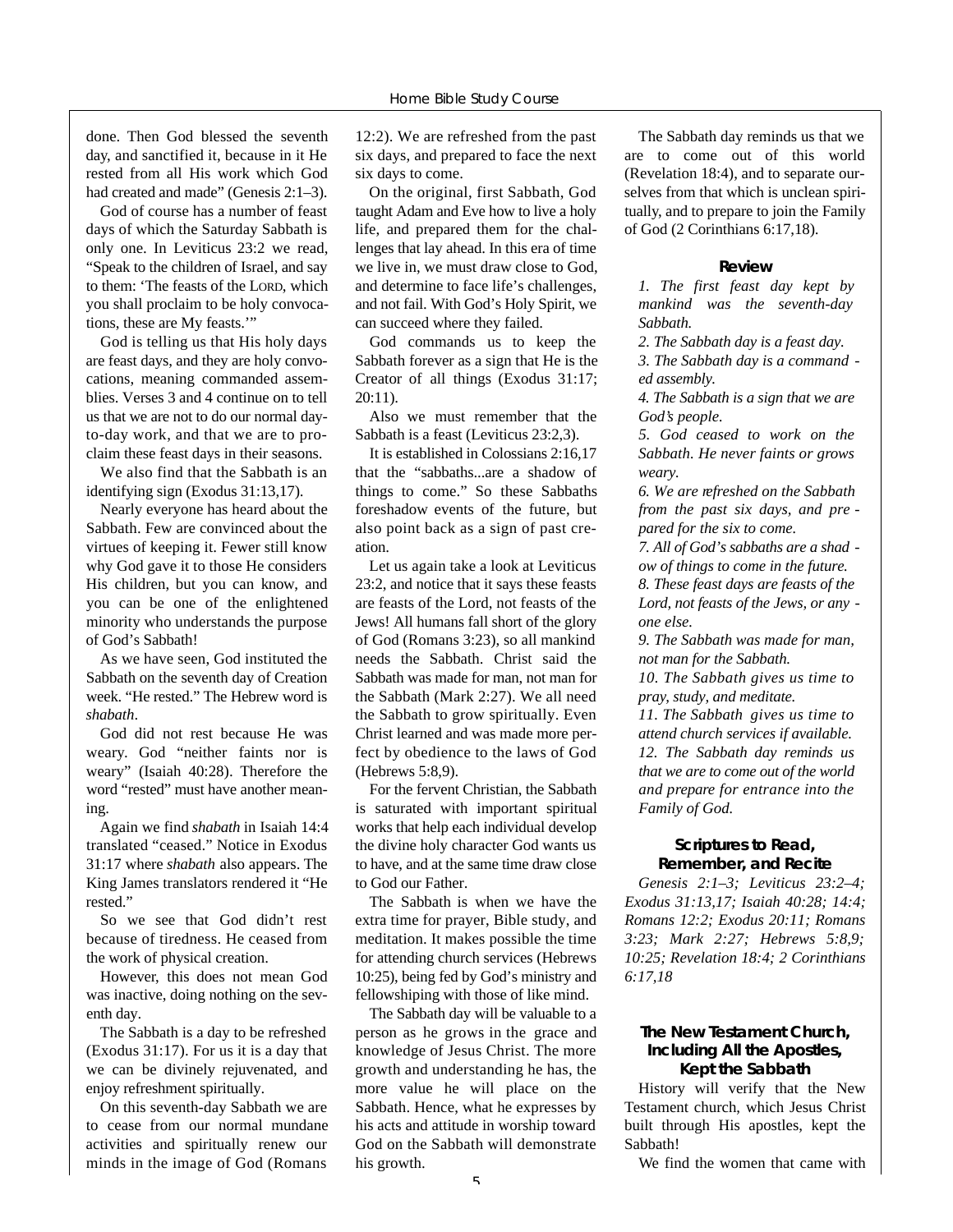done. Then God blessed the seventh day, and sanctified it, because in it He rested from all His work which God had created and made" (Genesis 2:1–3).

God of course has a number of feast days of which the Saturday Sabbath is only one. In Leviticus 23:2 we read, "Speak to the children of Israel, and say to them: 'The feasts of the LORD, which you shall proclaim to be holy convocations, these are My feasts.'"

God is telling us that His holy days are feast days, and they are holy convocations, meaning commanded assemblies. Verses 3 and 4 continue on to tell us that we are not to do our normal dayto-day work, and that we are to proclaim these feast days in their seasons.

We also find that the Sabbath is an identifying sign (Exodus 31:13,17).

Nearly everyone has heard about the Sabbath. Few are convinced about the virtues of keeping it. Fewer still know why God gave it to those He considers His children, but you can know, and you can be one of the enlightened minority who understands the purpose of God's Sabbath!

As we have seen, God instituted the Sabbath on the seventh day of Creation week. "He rested." The Hebrew word is *s h a b a t h*.

God did not rest because He was weary. God "neither faints nor is weary" (Isaiah 40:28). Therefore the word "rested" must have another mean- $\mathbf{i} \mathbf{n} \mathbf{\sigma}$ 

Again we find *shabath* in Isaiah 14:4 translated "ceased." Notice in Exodus 31:17 where *shabath* also appears. The King James translators rendered it "He rested."

So we see that God didn't rest because of tiredness. He ceased from the work of physical creation.

However, this does not mean God was inactive, doing nothing on the seventh day.

The Sabbath is a day to be refreshed (Exodus 31:17). For us it is a day that we can be divinely rejuvenated, and enjoy refreshment spiritually.

On this seventh-day Sabbath we are to cease from our normal mundane activities and spiritually renew our minds in the image of God (Romans

12:2). We are refreshed from the past six days, and prepared to face the next six days to come.

On the original, first Sabbath, God taught Adam and Eve how to live a holy life, and prepared them for the challenges that lay ahead. In this era of time we live in, we must draw close to God, and determine to face life's challenges, and not fail. With God's Holy Spirit, we can succeed where they failed.

God commands us to keep the Sabbath forever as a sign that He is the Creator of all things (Exodus 31:17;  $20:11$ .

Also we must remember that the Sabbath is a feast (Leviticus 23:2,3).

It is established in Colossians 2:16,17 that the "sabbaths...are a shadow of things to come." So these Sabbaths foreshadow events of the future, but also point back as a sign of past creation.

Let us again take a look at Leviticus 23:2, and notice that it says these feasts are feasts of the Lord, not feasts of the Jews! All humans fall short of the glory of God (Romans 3:23), so all mankind needs the Sabbath. Christ said the Sabbath was made for man, not man for the Sabbath (Mark 2:27). We all need the Sabbath to grow spiritually. Even Christ learned and was made more perfect by obedience to the laws of God (Hebrews 5:8,9).

For the fervent Christian, the Sabbath is saturated with important spiritual works that help each individual develop the divine holy character God wants us to have, and at the same time draw close to God our Father.

The Sabbath is when we have the extra time for prayer, Bible study, and meditation. It makes possible the time for attending church services (Hebrews 10:25), being fed by God's ministry and fellowshiping with those of like mind.

The Sabbath day will be valuable to a person as he grows in the grace and knowledge of Jesus Christ. The more growth and understanding he has, the more value he will place on the Sabbath. Hence, what he expresses by his acts and attitude in worship toward God on the Sabbath will demonstrate his growth.

The Sabbath day reminds us that we are to come out of this world (Revelation 18:4), and to separate ourselves from that which is unclean spiritually, and to prepare to join the Family of God (2 Corinthians 6:17,18).

#### **R e v i e w**

*1. The first feast day kept by mankind was the seventh-day* Sabbath.

*2. The Sabbath day is a feast day.*

*3. The Sabbath day is a command ed assembly.*

*4. The Sabbath is a sign that we are* God's people.

*5. God ceased to work on the* Sabbath. He never faints or grows weary.

*6. We are re f reshed on the Sabbath f rom the past six days, and pre p a red for the six to come.*

*7. All of God's sabbaths are a shad ow of things to come in the future . 8. These feast days are feasts of the*

*L o rd, not feasts of the Jews, or any one else.*

*9. The Sabbath was made for man, not man for the Sabbath.*

*10. The Sabbath gives us time to pray, study, and meditate.* 

*11. The Sabbath gives us time to attend church services if available. 12. The Sabbath day reminds us that we are to come out of the world and prepare for entrance into the Family of God.*

#### **Scriptures to Read, Remember, and Recite**

*Genesis 2:1–3; Leviticus 23:2–4; Exodus 31:13,17; Isaiah 40:28; 14:4; Romans 12:2; Exodus 20:11; Romans 3:23; Mark 2:27; Hebrews 5:8,9; 10:25; Revelation 18:4; 2 Corinthians 6:17,18*

#### **The New Testament Church, Including All the Apostles, Kept the Sabbath**

History will verify that the New Testament church, which Jesus Christ built through His apostles, kept the Sabbath!

We find the women that came with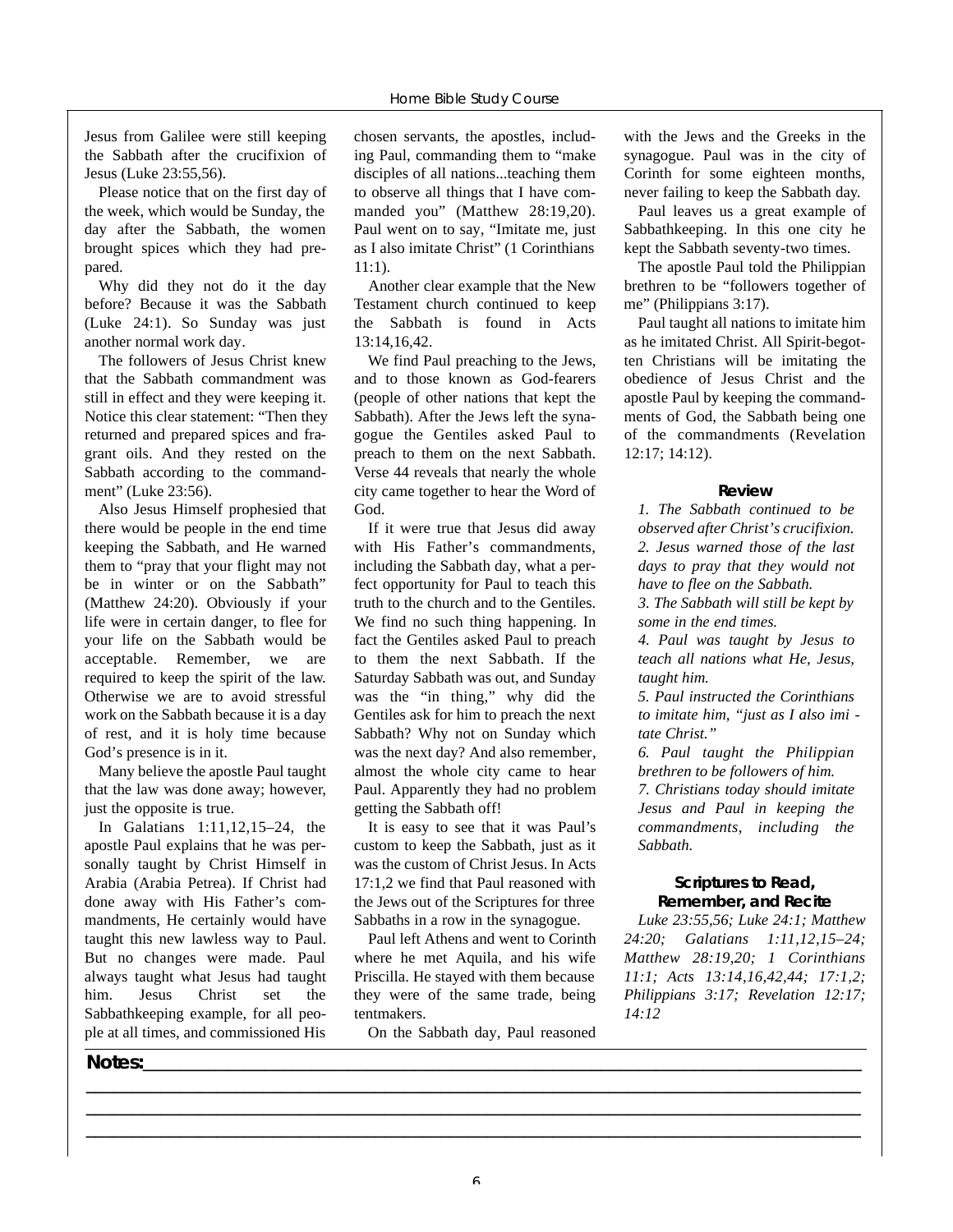Jesus from Galilee were still keeping the Sabbath after the crucifixion of Jesus (Luke 23:55,56).

Please notice that on the first day of the week, which would be Sunday, the day after the Sabbath, the women brought spices which they had prepared.

Why did they not do it the day before? Because it was the Sabbath (Luke 24:1). So Sunday was just another normal work day.

The followers of Jesus Christ knew that the Sabbath commandment was still in effect and they were keeping it. Notice this clear statement: "Then they returned and prepared spices and fragrant oils. And they rested on the Sabbath according to the commandment" (Luke 23:56).

Also Jesus Himself prophesied that there would be people in the end time keeping the Sabbath, and He warned them to "pray that your flight may not be in winter or on the Sabbath" (Matthew 24:20). Obviously if your life were in certain danger, to flee for your life on the Sabbath would be acceptable. Remember, we are required to keep the spirit of the law. Otherwise we are to avoid stressful work on the Sabbath because it is a day of rest, and it is holy time because God's presence is in it.

Many believe the apostle Paul taught that the law was done away; however, just the opposite is true.

In Galatians 1:11,12,15–24, the apostle Paul explains that he was personally taught by Christ Himself in Arabia (Arabia Petrea). If Christ had done away with His Father's commandments, He certainly would have taught this new lawless way to Paul. But no changes were made. Paul always taught what Jesus had taught him. Jesus Christ set the Sabbathkeeping example, for all people at all times, and commissioned His

chosen servants, the apostles, including Paul, commanding them to "make disciples of all nations...teaching them to observe all things that I have commanded you" (Matthew 28:19,20). Paul went on to say, "Imitate me, just as I also imitate Christ" (1 Corinthians 11:1).

Another clear example that the New Testament church continued to keep the Sabbath is found in Acts 13:14,16,42.

We find Paul preaching to the Jews, and to those known as God-fearers (people of other nations that kept the Sabbath). After the Jews left the synagogue the Gentiles asked Paul to preach to them on the next Sabbath. Verse 44 reveals that nearly the whole city came together to hear the Word of God.

If it were true that Jesus did away with His Father's commandments, including the Sabbath day, what a perfect opportunity for Paul to teach this truth to the church and to the Gentiles. We find no such thing happening. In fact the Gentiles asked Paul to preach to them the next Sabbath. If the Saturday Sabbath was out, and Sunday was the "in thing," why did the Gentiles ask for him to preach the next Sabbath? Why not on Sunday which was the next day? And also remember, almost the whole city came to hear Paul. Apparently they had no problem getting the Sabbath off!

It is easy to see that it was Paul's custom to keep the Sabbath, just as it was the custom of Christ Jesus. In Acts 17:1,2 we find that Paul reasoned with the Jews out of the Scriptures for three Sabbaths in a row in the synagogue.

Paul left Athens and went to Corinth where he met Aquila, and his wife Priscilla. He stayed with them because they were of the same trade, being tentmakers.

On the Sabbath day, Paul reasoned

**\_\_\_\_\_\_\_\_\_\_\_\_\_\_\_\_\_\_\_\_\_\_\_\_\_\_\_\_\_\_\_\_\_\_\_\_\_\_\_\_\_\_\_\_\_\_\_\_\_\_\_\_\_\_\_\_\_\_\_\_\_\_\_\_\_\_\_\_\_\_\_\_\_\_\_\_\_\_\_\_\_\_\_ \_\_\_\_\_\_\_\_\_\_\_\_\_\_\_\_\_\_\_\_\_\_\_\_\_\_\_\_\_\_\_\_\_\_\_\_\_\_\_\_\_\_\_\_\_\_\_\_\_\_\_\_\_\_\_\_\_\_\_\_\_\_\_\_\_\_\_\_\_\_\_\_\_\_\_\_\_\_\_\_\_\_\_ \_\_\_\_\_\_\_\_\_\_\_\_\_\_\_\_\_\_\_\_\_\_\_\_\_\_\_\_\_\_\_\_\_\_\_\_\_\_\_\_\_\_\_\_\_\_\_\_\_\_\_\_\_\_\_\_\_\_\_\_\_\_\_\_\_\_\_\_\_\_\_\_\_\_\_\_\_\_\_\_\_\_\_**

with the Jews and the Greeks in the synagogue. Paul was in the city of Corinth for some eighteen months, never failing to keep the Sabbath day.

Paul leaves us a great example of Sabbathkeeping. In this one city he kept the Sabbath seventy-two times.

The apostle Paul told the Philippian brethren to be "followers together of me" (Philippians 3:17).

Paul taught all nations to imitate him as he imitated Christ. All Spirit-begotten Christians will be imitating the obedience of Jesus Christ and the apostle Paul by keeping the commandments of God, the Sabbath being one of the commandments (Revelation 12:17; 14:12).

#### **Review**

*1. The Sabbath continued to be observed after Christ's crucifixion. 2. Jesus warned those of the last days to pray that they would not have to flee on the Sabbath. 3. The Sabbath will still be kept by*

*some in the end times.*

*4. Paul was taught by Jesus to teach all nations what He, Jesus, taught him.*

*5. Paul instructed the Corinthians to imitate him, "just as I also imi tate Christ."*

*6. Paul taught the Philippian brethren to be followers of him. 7. Christians today should imitate Jesus and Paul in keeping the commandments, including the Sabbath.*

#### **Scriptures to Read, Remember, and Recite**

*Luke 23:55,56; Luke 24:1; Matthew* 24:20; Galatians 1:11,12,15-24; *Matthew 28:19,20; 1 Corinthians 11:1; Acts 13:14,16,42,44; 17:1,2; Philippians 3:17; Revelation 12:17; 14:12*

#### **Notes:\_\_\_\_\_\_\_\_\_\_\_\_\_\_\_\_\_\_\_\_\_\_\_\_\_\_\_\_\_\_\_\_\_\_\_\_\_\_\_\_\_\_\_\_\_\_\_\_\_\_\_\_\_\_\_\_\_\_\_\_\_\_\_\_\_\_\_\_\_\_\_\_\_\_\_\_\_**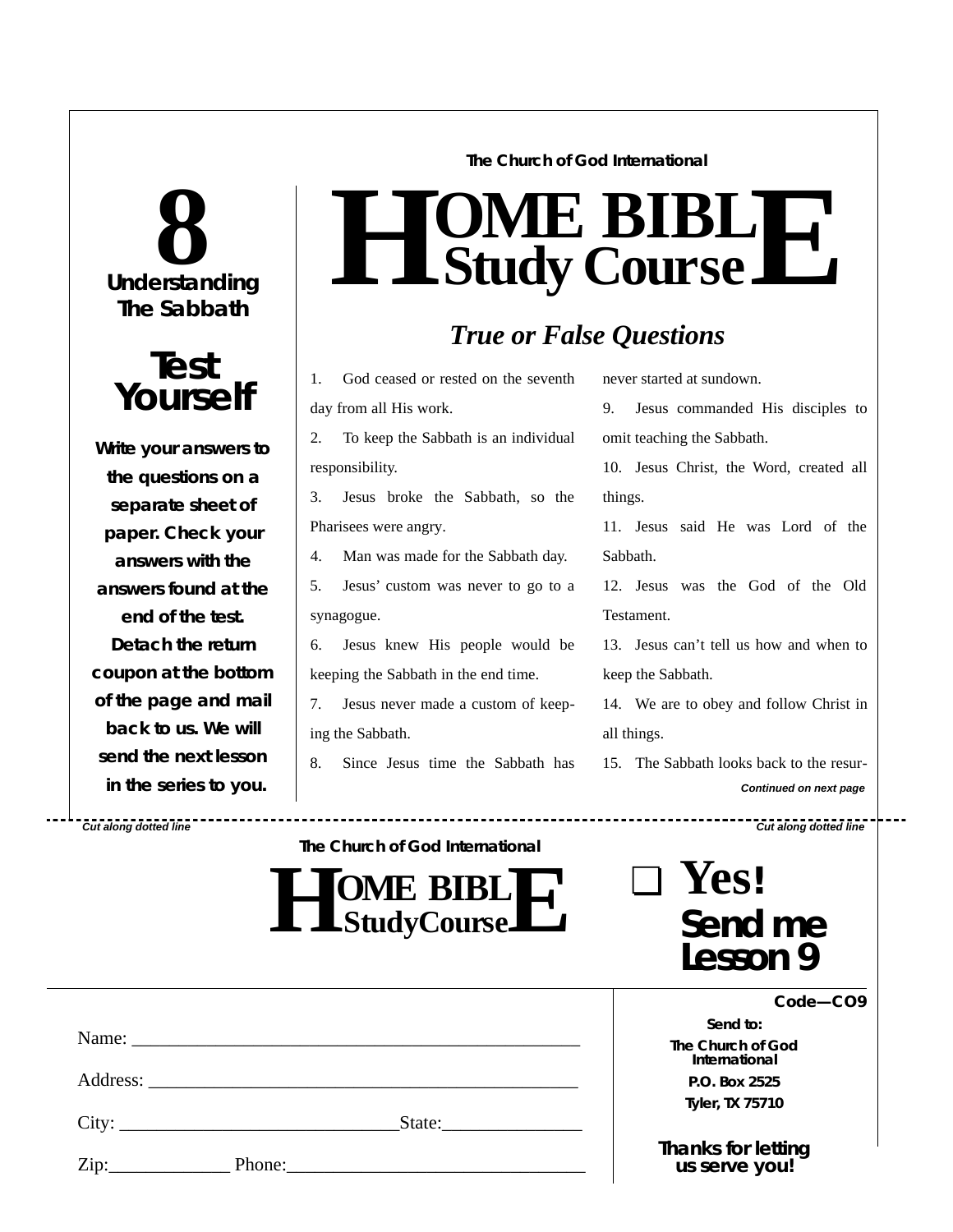# **Understanding 8 The Sabbath**



**Write your answers to the questions on a separate sheet of paper. Check** *your* **answers with the answers found at the end of the test. Detach the return coupon at the bottom of the page and mail back to us. We will send the next lesson in the series to you.**

**The Church of God International**

## $H$  **Study Study Cour**  $\overline{\textbf{B}}$ **B s e L E**

## *True or False Questions*

1. God ceased or rested on the seventh day from all His work.

2. To keep the Sabbath is an individual responsibility.

3. Jesus broke the Sabbath, so the Pharisees were angry.

4. Man was made for the Sabbath day.

5. Jesus' custom was never to go to a synagogue.

6. Jesus knew His people would be keeping the Sabbath in the end time.

7. Jesus never made a custom of keeping the Sabbath.

8. Since Jesus time the Sabbath has

never started at sundown.

9. Jesus commanded His disciples to omit teaching the Sabbath.

10. Jesus Christ, the Word, created all things.

11. Jesus said He was Lord of the Sabbath.

12. Jesus was the God of the Old Testament.

13. Jesus can't tell us how and when to keep the Sabbath.

14. We are to obey and follow Christ in all things.

15. The Sabbath looks back to the resur-*Continued on next page*

❏ **Yes!**

*Cut along dotted line Cut along dotted line*

**The Church of God International**

**HO StudyCourse ME** BIBL **E**

*Send to:* **The Church of God International P.O. Box 2525 Tyler, TX 75710**

**Send me**

**Lesson 9**

*Thanks for letting us serve you!*

|                            | City: | State: |  |
|----------------------------|-------|--------|--|
| $\overline{\mathrm{Zip:}}$ |       |        |  |